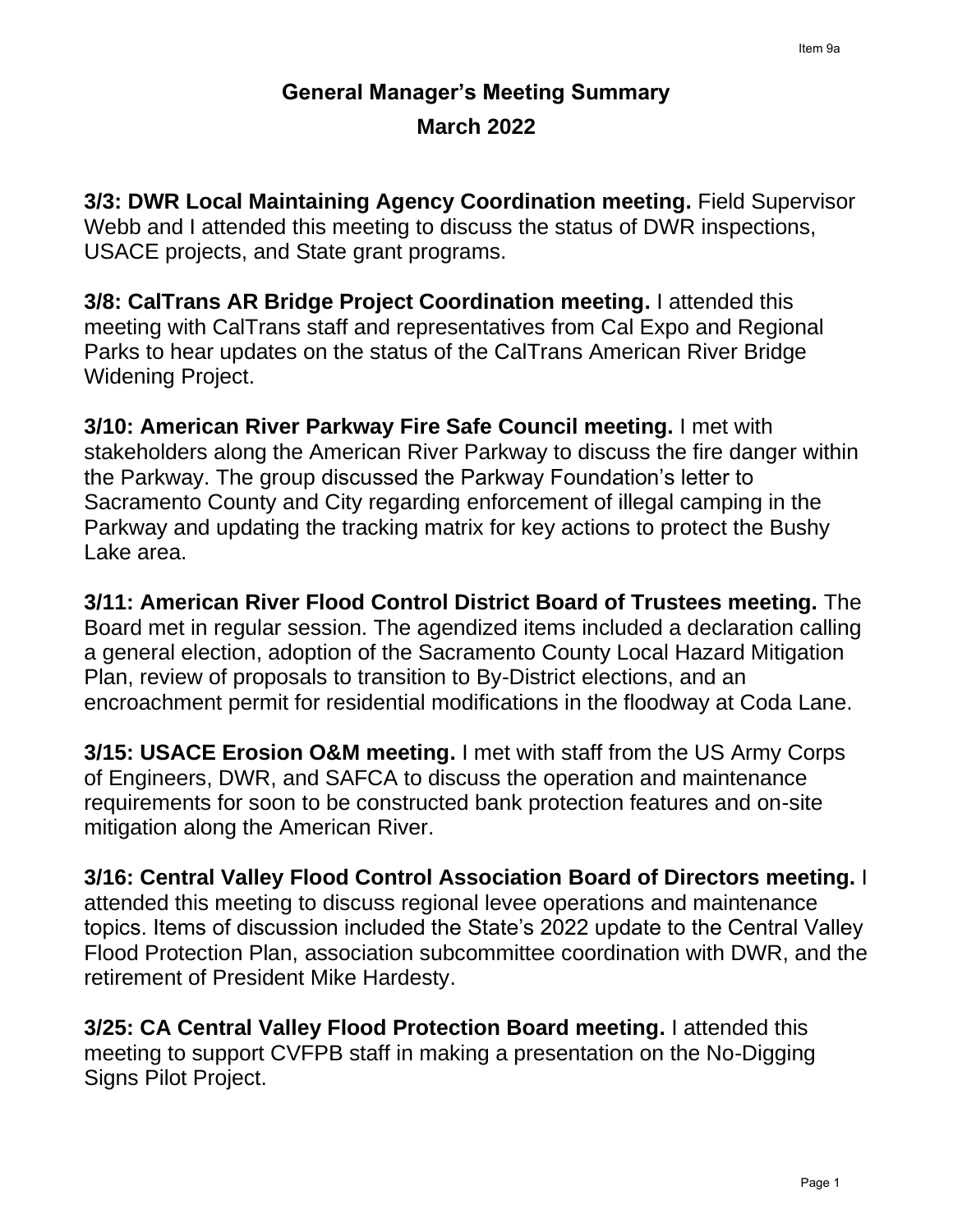## **General Manager's Meeting Summary March 2022**

**3/3: DWR Local Maintaining Agency Coordination meeting.** Field Supervisor Webb and I attended this meeting to discuss the status of DWR inspections, USACE projects, and State grant programs.

**3/8: CalTrans AR Bridge Project Coordination meeting.** I attended this meeting with CalTrans staff and representatives from Cal Expo and Regional Parks to hear updates on the status of the CalTrans American River Bridge Widening Project.

**3/10: American River Parkway Fire Safe Council meeting.** I met with stakeholders along the American River Parkway to discuss the fire danger within the Parkway. The group discussed the Parkway Foundation's letter to Sacramento County and City regarding enforcement of illegal camping in the Parkway and updating the tracking matrix for key actions to protect the Bushy Lake area.

**3/11: American River Flood Control District Board of Trustees meeting.** The Board met in regular session. The agendized items included a declaration calling a general election, adoption of the Sacramento County Local Hazard Mitigation Plan, review of proposals to transition to By-District elections, and an encroachment permit for residential modifications in the floodway at Coda Lane.

**3/15: USACE Erosion O&M meeting.** I met with staff from the US Army Corps of Engineers, DWR, and SAFCA to discuss the operation and maintenance requirements for soon to be constructed bank protection features and on-site mitigation along the American River.

**3/16: Central Valley Flood Control Association Board of Directors meeting.** I attended this meeting to discuss regional levee operations and maintenance topics. Items of discussion included the State's 2022 update to the Central Valley Flood Protection Plan, association subcommittee coordination with DWR, and the retirement of President Mike Hardesty.

**3/25: CA Central Valley Flood Protection Board meeting.** I attended this meeting to support CVFPB staff in making a presentation on the No-Digging Signs Pilot Project.